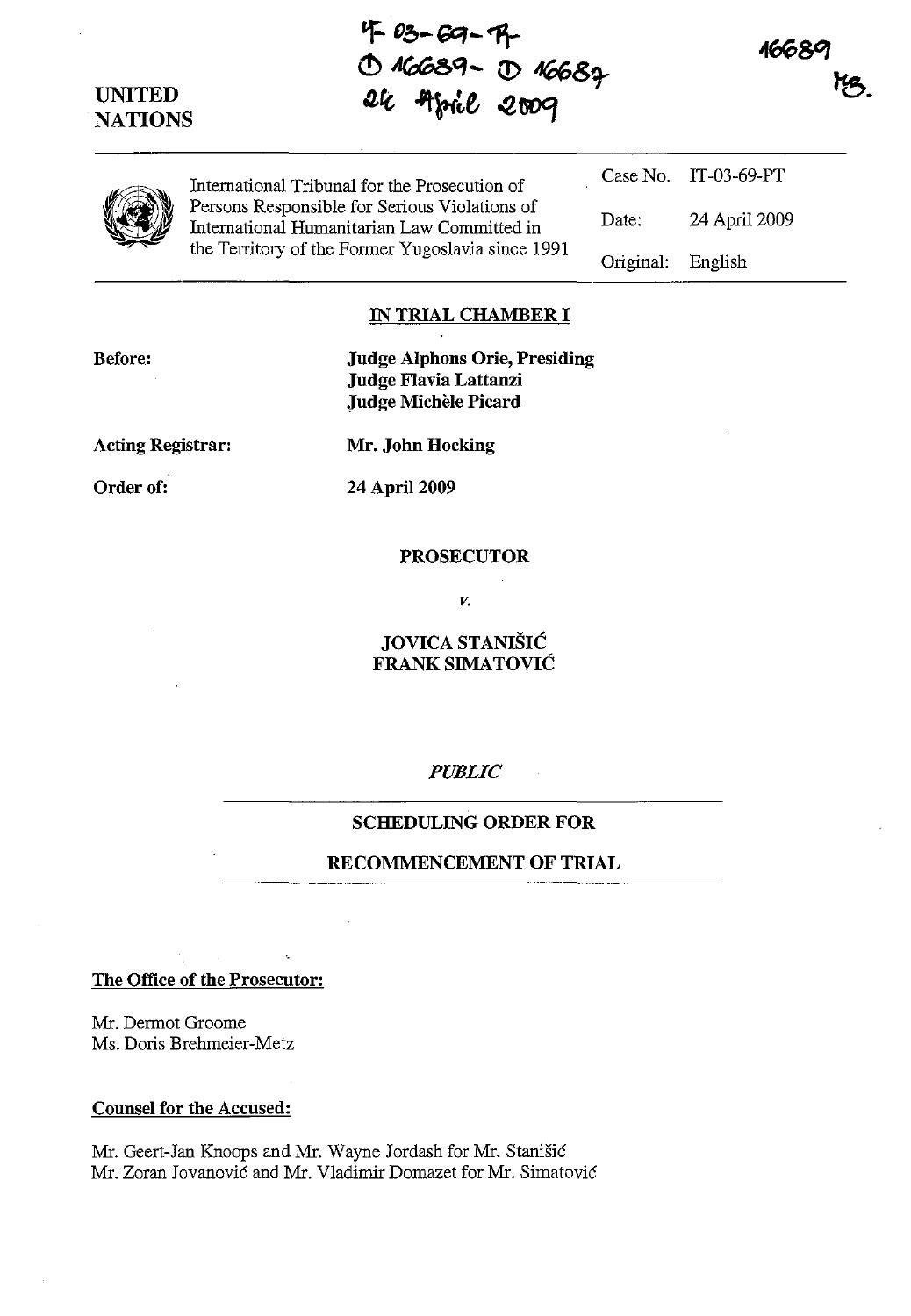# **UNITED NATIONS**

**'f- Db-Gq-"1\--**  $\circledcirc$  16689 -  $\circledcirc$  16682 **IUt** -'t~tt **-2twJCf** 



Case No. IT-03-69-PT

24 April 2009

English

Date:

Original:



International Tribunal for the Prosecution of Persons Responsible for Serious Violations of International Humanitarian Law Committed in the Territory of the Former Yugoslavia since 1991

**IN TRIAL CHAMBER I** 

**Before:** 

**Judge Alphons Orie, Presiding Judge Flavia Lattanzi Judge Michele Picard** 

**Acting Registrar: Mr. John Hocking** 

**Order of: 24 April 2009** 

#### **PROSECUTOR**

*v.* 

**JOVICA STANIŠIĆ FRANK SIMATOVIC** 

### *PUBLIC*

## **SCHEDULING ORDER FOR**

## RECOMMENCEMENT OF TRIAL

**The Office of the Prosecutor:** 

Mr. Dermot Groome Ms. Doris Brehmeier-Metz

### **Counsel for the Accused:**

Mr. Geert-Jan Knoops and Mr. Wayne Jordash for Mr. Stanisic Mr. Zoran Jovanovic and Mr. Vladimir Domazet for Mr. Simatovic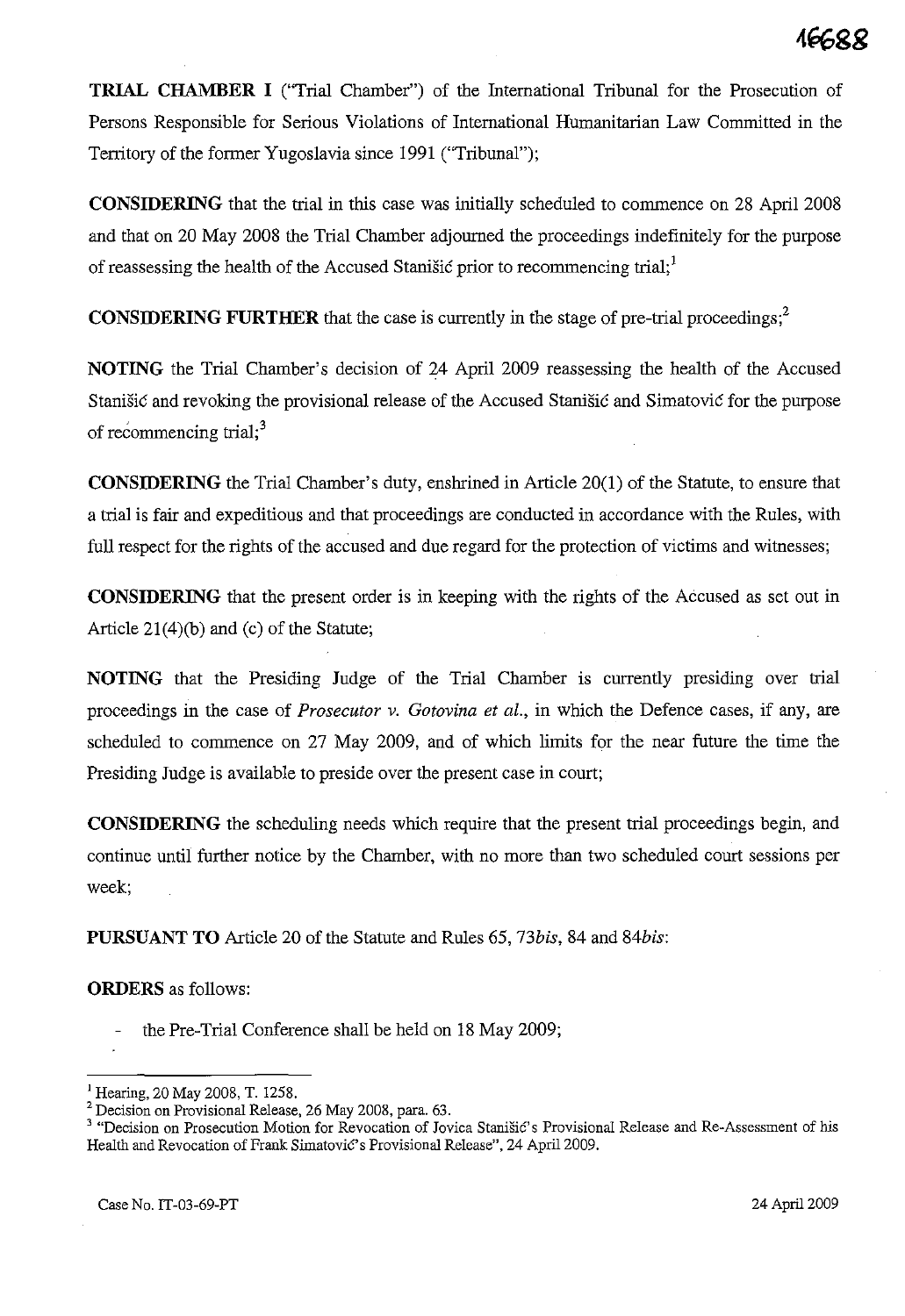**TRIAL CHAMBER I** ("Trial Chamber") of the International Tribunal for the Prosecution of Persons Responsible for Serious Violations of International Humanitarian Law Committed in the Territory of the former Yugoslavia since 1991 ("Tribunal");

**CONSIDERING** that the trial in this case was initially scheduled to commence on 28 April 2008 and that on 20 May 2008 the Trial Chamber adjourned the proceedings indefinitely for the purpose of reassessing the health of the Accused Stanisic prior to recommencing trial;<sup>1</sup>

**CONSIDERING FURTHER** that the case is currently in the stage of pre-trial proceedings;<sup>2</sup>

**NOTING** the Trial Chamber's decision of 24 April 2009 reassessing the health of the Accused Stanisic and revoking the provisional release of the Accused Stanisic and Simatovic for the purpose of recommencing trial; $3<sup>3</sup>$ 

**CONSIDERING** the Trial Chamber's duty, enshrined in Article 20(1) of the Statute, to ensure that a trial is fair and expeditious and that proceedings are conducted in accordance with the Rules, with full respect for the rights of the accused and due regard for the protection of victims and witnesses;

**CONSIDERING** that the present order is in keeping with the rights of the Accused as set out in Article  $21(4)(b)$  and (c) of the Statute;

**NOTING** that the Presiding Judge of the Trial Chamber is currently presiding over trial proceedings in the case of *Prosecutor v. Gotovina et al.,* in which the Defence cases, if any, are scheduled to commence on 27 May 2009, and of which limits for the near future the time the Presiding Judge is available to preside over the present case in court;

**CONSIDERING** the scheduling needs which require that the present trial proceedings begin, and continue until further notice by the Chamber, with no more than two scheduled court sessions per week;

**PURSUANT TO** Article 20 of the Statute and Rules 65, *73bis,* 84 and *84bis:* 

**ORDERS** as follows:

the Pre-Trial Conference shall be held on 18 May 2009;

 $1$  Hearing, 20 May 2008, T. 1258.

<sup>&</sup>lt;sup>2</sup> Decision on Provisional Release, 26 May 2008, para. 63.

**<sup>3 &</sup>quot;Decision on Prosecution Motion for Revocation of Jovica Stanisic's Provisional Release and Re-Assessment of his**  Health and Revocation of Frank Simatović's Provisional Release", 24 April 2009.